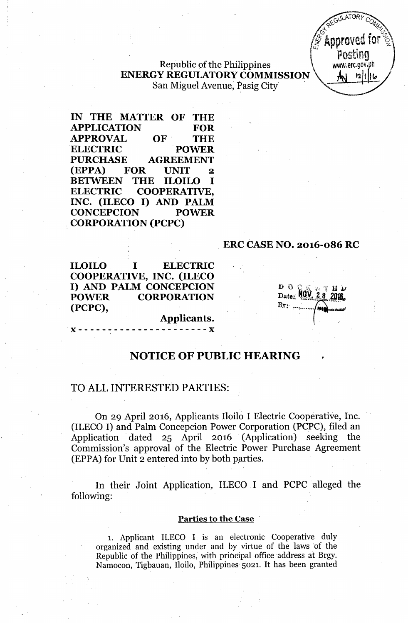JLATORY REGULATORY COMPANY **Examproved for**  $\frac{1}{2}$ posting .

### Republic of the Philippines ENERGY REGULATORY COMMISSION  $\Lambda$ <sup>1</sup> San Miguel Avenue, Pasig City

IN THE MATTER OF THE APPLICATION FOR APPROVAL OF THE ELECTRIC POWER PURCHASE AGREEMENT (EPPA) FOR UNIT 2 BETWEEN THE ILOILO I ELECTRIC COOPERATIVE, INC. (ILECO I) AND PALM CONCEPCION POWER ,CORPORATION (PCPC)

#### , ERC CASE NO. 2016-086 RC

**ILOILO ELECTRIC**  $\bf{I}$ COOPERATIVE, INC. (ILECO I) AND PALM CONCEPCION **POWER CORPORATION** (PCPC),

## *}) t') ~..* 0'. '. 'f' '\,"'", \.. . :.' .~\ .1. ~t, .1. .ru *-IJ* Date: NO) *Bv',* . <sup>~</sup> .,~."';'."' ~"""r" ..""....*'* ..-.~~~~ ..:.~

. .

,

Applicants.

### NOTICE OF PUBLIC HEARING

### TO ALL INTERESTED PARTIES:

On 29 April 2016, Applicants Iloilo I Electric Cooperative, Inc. (ILECO I) and Palm Concepcion Power Corporation (PCPC), filed an Application dated 25 April 2016 (Application) seeking the Commission's approval of the Electric' Power Purchase Agreement (EPPA) for Unit 2 entered into by both parties.

In their Joint Application, ILECO I and PCPC alleged the following:

#### Parties to the Case '

1. Applicant ILECO I is an electronic Cooperative duly organized and existing under and by virtue of the laws of the Republic of the Philippines, with principal office address at Brgy. Namocon, Tigbauan, Iloilo, Philippines 5021. It has been granted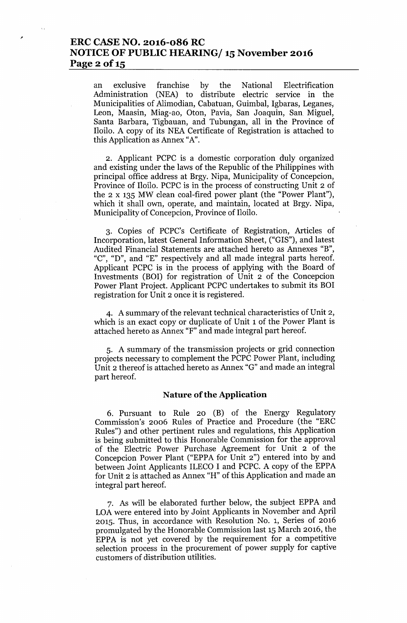### **ERC CASE NO. 2016-086 RC NOTICE OF PUBLIC HEARING/ 15November 2016 Page 2** of 15

an exclusive franchise by the National Electrification Administration (NEA) to distribute electric service in the Municipalities of Alimodian, Cabatuan, Guimbal, Igbaras, Leganes, Leon, Maasin, Miag-ao, Oton, Pavia, San Joaquin, San Miguel, Santa Barbara, Tigbauan, and Tubungan, all in the Province of Iloilo. A copy of its NEA Certificate of Registration is attached to this Application as Annex "A".

2. Applicant PCPC is a domestic corporation duly organized and existing under the laws of the Republic of the Philippines with principal office address at Brgy. Nipa, Municipality of Concepcion, Province of Iloilo. PCPC is in the process of constructing Unit 2 of the 2 x 135 MW clean coal-fired power plant (the "Power Plant"), which it shall own, operate, and maintain, located at Brgy. Nipa, Municipality of Concepcion, Province of Iloilo.

3. Copies of PCPC's Certificate of Registration, Articles of Incorporation, latest General Information Sheet, ("GIS"), and latest Audited Financial Statements are attached hereto as Annexes "B", "C", "D", and "E" respectively and all made integral parts hereof. Applicant PCPC is in the process of applying with the Board of Investments (BOI) for registration of Unit 2 of the Concepcion Power Plant Project. Applicant PCPC undertakes to submit its BOI registration for Unit 2 once it is registered.

4. A summary of the relevant technical characteristics of Unit 2, which is an exact copy or duplicate of Unit 1 of the Power Plant is attached hereto as Annex "F" and made integral part hereof.

5. A summary of the transmission projects or grid connection projects necessary to complement the PCPC Power Plant, including Unit 2 thereof is attached hereto as Annex "G" and made an integral part hereof.

#### **Nature of the Application**

6. Pursuant to Rule 20 (B) of the Energy Regulatory Commission's 2006 Rules of Practice and Procedure (the "ERC Rules") and other pertinent rules and regulations, this Application is being submitted to this Honorable Commission for the approval of the Electric Power Purchase Agreement for Unit 2 of the Concepcion Power Plant ("EPPA for Unit 2") entered into by and between Joint Applicants ILECO I and PCPC. A copy of the EPPA for Unit 2 is attached as Annex "H" of this Application and made an integral part hereof.

7. As will be elaborated further below, the subject EPPA and LOA were entered into by Joint Applicants in November and April 2015. Thus, in accordance with Resolution NO.1, Series of 2016 promulgated by the Honorable Commission last 15 March 2016, the EPPA is not yet covered by the requirement for a competitive selection process in the procurement of power supply for captive customers of distribution utilities.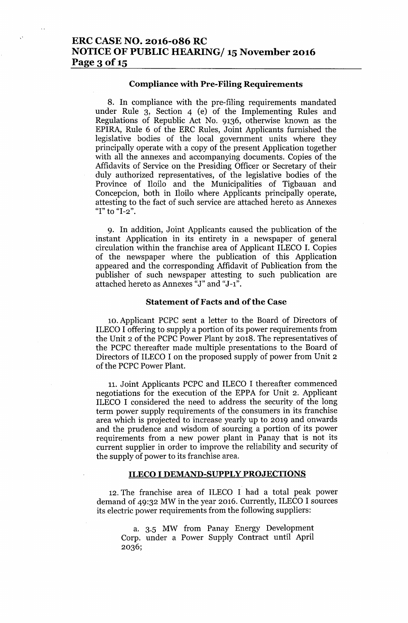# ERC CASE NO. 2016-086 RC NOTICE OF PUBLIC HEARING/ 15 November 2016 Page  $3$  of  $15$

#### Compliance with Pre-Filing Requirements

8. In compliance with the pre-filing requirements mandated under Rule 3, Section 4 (e) of the Implementing Rules and Regulations of Republic Act No. 9136, otherwise known as the EPIRA, Rule 6 of the ERC Rules, Joint Applicants furnished the legislative bodies of the local government units where they principally operate with a copy of the present Application together with all the annexes and accompanying documents. Copies of the Affidavits of Service on the Presiding Officer or Secretary of their duly authorized representatives, of the legislative bodies of the Province of Iloilo and the Municipalities of Tigbauan and Concepcion, both in Iloilo where Applicants principally operate, attesting to the fact of such service are attached hereto as Annexes "I" to "I-2".

9. In addition, Joint Applicants caused the publication of the instant Application in its entirety in a newspaper of general circulation within the franchise area of Applicant ILECO I. Copies of the newspaper where the publication of this Application appeared and the corresponding Affidavit of Publication from the publisher of such newspaper attesting to such publication are attached hereto as Annexes "J" and "J-1".

#### Statement of Facts and of the Case

10. Applicant PCPC sent a letter to the Board of Directors of ILECO I offering to supply a portion of its power requirements from the Unit 2 of the PCPC Power Plant by 2018. The representatives of the PCPC thereafter made multiple presentations to the Board of Directors of ILECO I on the proposed supply of power from Unit 2 of the PCPC Power Plant.

11. Joint Applicants PCPC and ILECO I thereafter commenced negotiations for the execution of the EPPA for Unit 2. Applicant ILECO I considered the need to address the security of the long term power supply requirements of the consumers in its franchise area which is projected to increase yearly up to 2019 and onwards and the prudence and wisdom of sourcing a portion of its power requirements from a new power plant in Panay that is not its current supplier in order to improve the reliability and security of the supply of power to its franchise area.

#### ILECO I DEMAND-SUPPLY PROJECTIONS

12. The franchise area of ILECO I had a total peak power demand of 49:32 MW in the year 2016. Currently, ILECO I sources its electric power requirements from the following suppliers:

a. 3.5 MW from Panay Energy Development Corp. under a Power Supply Contract until April 2036;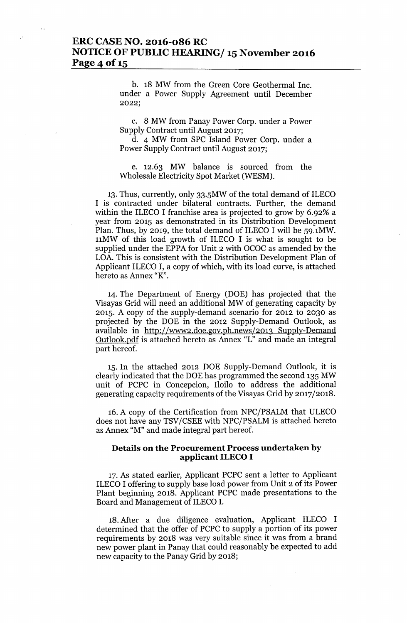### ERC CASE NO. 2016-086 RC NOTICE OF PUBLIC HEARING/ 15 November 2016 Page 4 of 15

b. 18 MW from the Green Core Geothermal Inc. under a Power Supply Agreement until December 2022;

c. 8 MW from Panay Power Corp. under a Power Supply Contract until August 2017;

d. 4 MW from SPC Island Power Corp. under a Power Supply Contract until August 2017;

e. 12.63 MW balance is sourced from the Wholesale Electricity Spot Market (WESM).

13. Thus, currently, only 33.5MW of the total demand of ILECO I is contracted under bilateral contracts. Further, the demand within the ILECO I franchise area is projected to grow by 6.92% a year from 2015 as demonstrated in its Distribution Development Plan. Thus, by 2019, the total demand of ILECO I will be 59.1MW. nMW of this load growth of ILECO I is what is sought to be supplied under the EPPA for Unit 2 with OCOC as amended by the LOA. This is consistent with the Distribution Development Plan of Applicant ILECO I, a copy of which, with its load curve, is attached hereto as Annex "K".

14. The Department of Energy (DOE) has projected that the Visayas Grid will need an additional MW of generating capacity by 2015. A copy of the supply-demand scenario for 2012 to 2030 as projected by the DOE in the 2012 Supply-Demand Outlook, as available in <http://www2.doe.gov.ph.news/2013> Supply-Demand Outlook.pdf is attached hereto as Annex "L" and made an integral part hereof.

15. In the attached 2012 DOE Supply-Demand Outlook, it is clearly indicated that the DOE has programmed the second 135 MW unit of PCPC in Concepcion, Iloilo to address the additional generating capacity requirements of the Visayas Grid by 2017/2018.

16. A copy of the Certification from NPC/PSALM that ULECO does not have any TSV/CSEE with NPC/PSALM is attached hereto as Annex "M" and made integral part hereof.

#### Details on the Procurement Process undertaken by applicant ILECO I

17. As stated earlier, Applicant PCPC sent a letter to Applicant ILECO I offering to supply base load power from Unit 2 of its Power Plant beginning 2018. Applicant PCPC made presentations to the Board and Management of ILECO I.

18. Mer a due diligence evaluation, Applicant ILECO I determined that the offer of PCPC to supply a portion of its power requirements by 2018 was very suitable since it was from a brand new power plant in Panay that could reasonably be expected to add new capacity to the Panay Grid by 2018;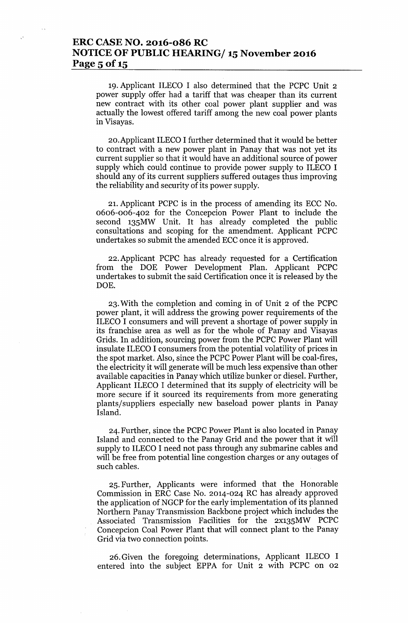# **ERC CASE NO. 2016-086 RC NOTICE OF PUBLIC HEARING/ 15November 2016 Page 5** of 15

19. Applicant ILECO I also determined that the PCPC Unit 2 power supply offer had a tariff that was cheaper than its current new contract with its other coal power plant supplier and was actually the lowest offered tariff among the new coal power plants in Visayas.

20.Applicant ILECO I further determined that it would be better to contract with a new power plant in Panay that was not yet its current supplier so that it would have an additional source of power supply which could continue to provide power supply to ILECO I should any of its current suppliers suffered outages thus improving the reliability and security of its power supply.

21. Applicant PCPC is in the process of amending its ECC No. 0606-006-402 for the Concepcion Power Plant to include the second 135MW Unit. It has already completed the public consultations and scoping for the amendment. Applicant PCPC undertakes so submit the amended ECC once it is approved.

22. Applicant PCPC has already requested for a Certification from the DOE Power Development Plan. Applicant PCPC undertakes to submit the said Certification once it is released by the DOE.

23. With the completion and coming in of Unit 2 of the PCPC power plant, it will address the growing power requirements of the ILECO I consumers and will prevent a shortage of power supply in its franchise area as well as for the whole of Panay and Visayas Grids. In addition, sourcing power from the PCPC Power Plant will insulate ILECO I consumers from the potential volatility of prices in the spot market. Also, since the PCPC Power Plant will be coal-fires, the electricity it will generate will be much less expensive than other available capacities in Panay which utilize bunker or diesel. Further, Applicant ILECO I determined that its supply of electricity will be more secure if it sourced its requirements from more generating plants/suppliers especially new baseload power plants in Panay Island.

24. Further, since the PCPC Power Plant is also located in Panay Island and connected to the Panay Grid and the power that it will supply to ILECO I need not pass through any submarine cables and will be free from potential line congestion charges or any outages of such cables.

25. Further, Applicants were informed that the Honorable Commission in ERC Case No. 2014-024 RC has already approved the application of NGCP for the early implementation of its planned Northern Panay Transmission Backbone project which includes the Associated Transmission Facilities for the 2X135MW PCPC Concepcion Coal Power Plant that will connect plant to the Panay Grid via two connection points.

26. Given the foregoing determinations, Applicant ILECO I entered into the subject EPPA for Unit 2 with PCPC on 02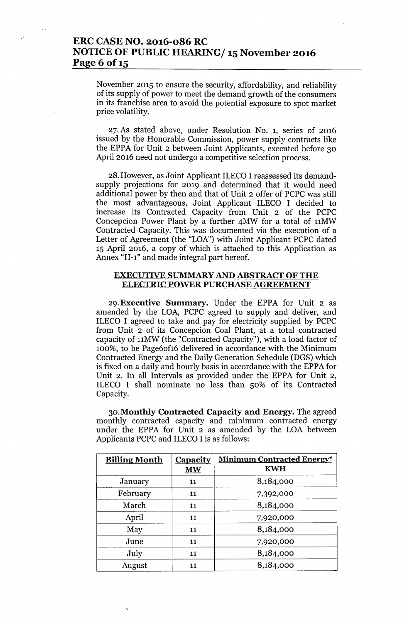# ERC CASE NO. 2016-086 RC NOTICE OF PUBLIC HEARING/ 15 November 2016 Page 6 of 15

November 2015 to ensure the security, affordability, and reliability of its supply of power to meet the demand growth of the consumers in its franchise area to avoid the potential exposure to spot market price volatility.

27. As stated above, under Resolution NO.1, series of 2016 issued by the Honorable Commission, power supply contracts like the EPPA for Unit 2 between Joint Applicants, executed before 30 April 2016 need not undergo a competitive selection process.

28.However, as Joint Applicant ILECO I reassessed its demandsupply projections for 2019 and determined that it would need additional power by then and that of Unit 2 offer of PCPC was still the most advantageous, Joint Applicant ILECO I decided to increase its Contracted Capacity from Unit 2 of the PCPC Concepcion Power Plant by a further 4MW for a total of 11MW Contracted Capacity. This was documented via the execution of a Letter of Agreement (the "LOA") with Joint Applicant PCPC dated 15 April 2016, a copy of which is attached to this Application as Annex "H-l" and made integral part hereof.

#### EXECUTIVE SUMMARY AND ABSTRACT OF THE ELECTRIC POWER PURCHASE AGREEMENT

29.Executive Summary. Under the EPPA for Unit 2 as amended by the LOA, PCPC agreed to supply and deliver, and ILECO I agreed to take and pay for electricity supplied by PCPC from Unit 2 of its Concepcion Coal Plant, at a total contracted capacity of 11MW (the "Contracted Capacity"), with a load factor of 100%, to be Page6of16 delivered in accordance with the Minimum Contracted Energy and the Daily Generation Schedule (DGS) which is fixed on a daily and hourly basis in accordance with the EPPA for Unit 2. In all Intervals as provided under the EPPA for Unit 2, ILECO I shall nominate no less than 50% of its Contracted Capacity.

30.Monthly Contracted Capacity and Energy. The agreed monthly contracted capacity and minimum contracted energy under the EPPA for Unit 2 as amended by the LOA between Applicants PCPC and ILECO I is as follows:

| <b>Billing Month</b> | <b>Capacity</b><br><b>MW</b> | <b>Minimum Contracted Energy*</b><br><b>KWH</b> |
|----------------------|------------------------------|-------------------------------------------------|
| January              | 11                           | 8,184,000                                       |
| February             | 11                           | 7,392,000                                       |
| March                | 11                           | 8,184,000                                       |
| April                | 11                           | 7,920,000                                       |
| May                  | 11                           | 8,184,000                                       |
| June                 | 11                           | 7,920,000                                       |
| July                 | 11                           | 8,184,000                                       |
| August               | 11                           | 8,184,000                                       |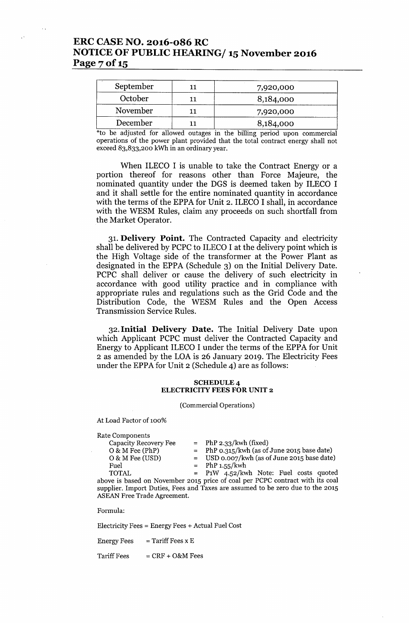## ERC CASE NO. 2016-086 RC NOTICE OF PUBLIC HEARING/ 15 November 2016 Page 7 of 15

| September | 7,920,000 |  |
|-----------|-----------|--|
| October   | 8,184,000 |  |
| November  | 7,920,000 |  |
| December  | 8,184,000 |  |

\*to be adjusted for allowed outages in the billing period upon commercial operations of the power plant provided that the total contract energy shall not exceed 83,833,200 kWh in an ordinary year.

When ILECO I is unable to take the Contract Energy or a portion thereof for reasons other than Force Majeure, the nominated quantity under the DGS is deemed taken by ILECO I and it shall settle for the entire nominated quantity in accordance with the terms of the EPPA for Unit 2. ILECO I shall, in accordance with the WESM Rules, claim any proceeds on such shortfall from the Market Operator.

31. Delivery Point. The Contracted Capacity and electricity shall be delivered by PCPC to ILECO I at the delivery point which is the High Voltage side of the transformer at the Power Plant as designated in the EPPA (Schedule 3) on the Initial Delivery Date. PCPC shall deliver or cause the delivery of such electricity in accordance with good utility practice and in compliance with appropriate rules and regulations such as the Grid Code and the Distribution Code, the WESM Rules and the Open Access Transmission Service Rules.

32. Initial Delivery Date. The Initial Delivery Date upon which Applicant PCPC must deliver the Contracted Capacity and Energy to Applicant ILECO I under the terms of the EPPA for Unit 2 as amended by the LOA is 26 January 2019. The Electricity Fees under the EPPA for Unit 2 (Schedule 4) are as follows:

#### SCHEDULE 4 ELECTRICITY FEES FOR UNIT 2

(Commercial Operations)

At Load Factor of 100%

Rate Components

 $=$  PhP 2.33/kwh (fixed)

 $0 & M \text{ Free (PhP)}$  = PhP 0.315/kwh (as of June 2015 base date)  $0 & M \text{ Free (USD)}$  = USD  $0.007/\text{kwh}$  (as of June 2015 base date)

Fuel  $= PhP 1.55/kwh$ 

TOTAL P1W 4.52/kwh Note: Fuel costs quoted above is based on November 2015 price of coal per PCPC contract with its coal supplier. Import Duties, Fees and Taxes are assumed to be zero due to the 2015 ASEAN Free Trade Agreement.

Formula:

Electricity Fees = Energy Fees + Actual Fuel Cost

Energy Fees  $=$  Tariff Fees x E

 $Tariff Fees = CRF + O&MFees$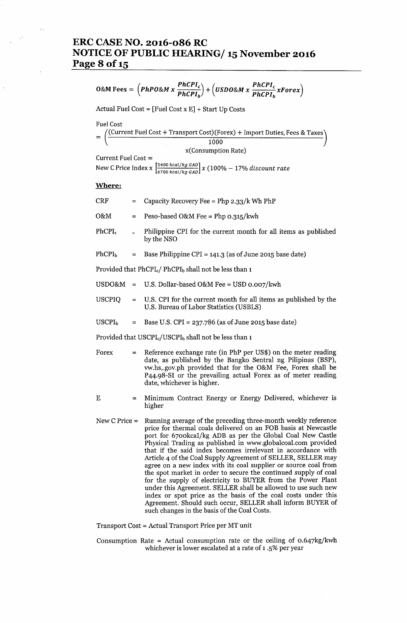### **ERC CASE NO. 2016-086 RC NOTICE OF PUBLIC HEARING/ 15November 2016 Page 8** of 15

$$
O\&M\,\text{Fees} = \left(PhPO\&M\,x\,\frac{PhCPI_c}{PhCPI_b}\right) + \left(USDO\&M\,x\,\frac{PhCPI_c}{PhCPI_b}\,x\text{Forex}\right)
$$

Actual Fuel Cost =  $[$ Fuel Cost x E $]$  + Start Up Costs

Fuel Cost

| /(Current Fuel Cost + Transport Cost)(Forex) + Import Duties, Fees & Taxes) |
|-----------------------------------------------------------------------------|
| 1000                                                                        |

x(Consumption Rate)

```
Current Fuel Cost =
```
. [5400 *keal/kg GAD] .* New CPnce Index x / *x* (100% - 17% *dzscount rate 6700 keaZ kg GAD*

#### Where:

| <b>CRF</b>                                                                     | $=$      | Capacity Recovery Fee = Php 2.33/k Wh PhP                                                                                                                                                                                                                                                   |  |  |
|--------------------------------------------------------------------------------|----------|---------------------------------------------------------------------------------------------------------------------------------------------------------------------------------------------------------------------------------------------------------------------------------------------|--|--|
| O&M                                                                            | $=$      | Peso-based O&M Fee = Php $o.315/kwh$                                                                                                                                                                                                                                                        |  |  |
| $PhCPI_c$                                                                      |          | Philippine CPI for the current month for all items as published<br>by the NSO                                                                                                                                                                                                               |  |  |
| PhCPI <sub>b</sub>                                                             | $=$      | Base Philippine CPI = $141.3$ (as of June 2015 base date)                                                                                                                                                                                                                                   |  |  |
| Provided that PhCPI <sub>c</sub> / PhCPI <sub>b</sub> shall not be less than 1 |          |                                                                                                                                                                                                                                                                                             |  |  |
|                                                                                |          | $USDO&M = U.S.$ Dollar-based O&M Fee = USD 0.007/kwh                                                                                                                                                                                                                                        |  |  |
| <b>USCPIQ</b>                                                                  |          | = U.S. CPI for the current month for all items as published by the<br>U.S. Bureau of Labor Statistics (USBLS)                                                                                                                                                                               |  |  |
| USCPI <sub>b</sub>                                                             | $\equiv$ | Base U.S. $CPI = 237.786$ (as of June 2015 base date)                                                                                                                                                                                                                                       |  |  |
| Provided that USCPI <sub>c</sub> /USCPI <sub>b</sub> shall not be less than 1  |          |                                                                                                                                                                                                                                                                                             |  |  |
| Forex                                                                          | $=$      | Reference exchange rate (in PhP per US\$) on the meter reading<br>date, as published by the Bangko Sentral ng Pilipinas (BSP),<br>vw.hs, gov.ph provided that for the O&M Fee, Forex shall be<br>P44.98-SI or the prevailing actual Forex as of meter reading<br>date, whichever is higher. |  |  |
| Ε                                                                              | $=$      | Minimum Contract Energy or Energy Delivered, whichever is<br>higher                                                                                                                                                                                                                         |  |  |

- New C Price = Running average of the preceding three-month weekly reference price for thermal coals delivered on an FOB basis at Newcastle port for 6700kcaI/kg ADB as per the Global Coal New Castle Physical Trading as published in [www.globalcoal.com](http://www.globalcoal.com) provided that if the said index becomes irrelevant in accordance with Article 4 of the Coal Supply Agreement of SELLER, SELLER may agree on a new index with its coal supplier or source coal from the spot market in order to secure the continued supply of coal for the supply of electricity to BUYER from the Power Plant under this Agreement. SELLER shall be allowed to use such new index or spot price as the basis of the coal costs under this Agreement. Should such occur, SELLER shall inform BUYER of such changes in the basis of the Coal Costs.
- Transport Cost = Actual Transport Price per MT unit
- Consumption Rate = Actual consumption rate or the ceiling of  $0.647\text{kg/kwh}$ whichever is lower escalated at a rate of 1 .5% per year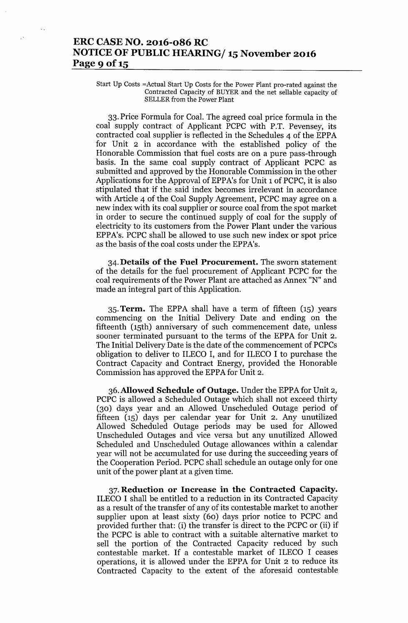# ERC CASE NO. 2016-086 RC NOTICE OF PUBLIC HEARING/ 15 November 2016 Page 9 of 15

Start Up Costs =Actual Start Up Costs for the Power Plant pro-rated against the Contracted Capacity of BUYER and the net sellable capacity of SELLER from the Power Plant

33. Price Formula for Coal. The agreed coal price formula in the coal supply contract of Applicant PCPC with P.T. Pevensey, its contracted coal supplier is reflected in the Schedules 4 of the EPPA for Unit 2 in accordance with the established policy of the Honorable Commission that fuel costs are on a pure pass-through basis. In the same coal supply contract of Applicant PCPC as submitted and approved by the Honorable Commission in the other Applications for the Approval of EPPA's for Unit 1 of PCPC, it is also stipulated that if the said index becomes irrelevant in accordance with Article 4 of the Coal Supply Agreement, PCPC may agree on a new index with its coal supplier or source coal from the spot market in order to secure the continued supply of coal for the supply of electricity to its customers from the Power Plant under the various EPPA's. PCPC shall be allowed to use such new index or spot price as the basis of the coal costs under the EPPA's.

34. Details of the Fuel Procurement. The sworn statement of the details for the fuel procurement of Applicant PCPC for the coal requirements of the Power Plant are attached as Annex "N" and made an integral part of this Application.

35. Term. The EPPA shall have a term of fifteen (15) years commencing on the Initial Delivery Date and ending on the fifteenth (15th) anniversary of such commencement date, unless sooner terminated pursuant to the terms of the EPPA for Unit 2. The Initial Delivery Date is the date of the commencement of PCPCs obligation to deliver to ILECO I, and for ILECO I to purchase the Contract Capacity and Contract Energy, provided the Honorable Commission has approved the EPPA for Unit 2.

36. Allowed Schedule of Outage. Under the EPPA for Unit 2, PCPC is allowed a Scheduled Outage which shall not exceed thirty (30) days year and an Allowed Unscheduled Outage period of fifteen (15) days per calendar year for Unit 2. Any unutilized Allowed Scheduled Outage periods may be used for Allowed Unscheduled Outages and vice versa but any unutilized Allowed Scheduled and Unscheduled Outage allowances within a calendar year will not be accumulated for use during the succeeding years of the Cooperation Period. PCPC shall schedule an outage only for one unit of the power plant at a given time.

37. Reduction or Increase in the Contracted Capacity. ILECO I shall be entitled to a reduction in its Contracted Capacity as a result of the transfer of any of its contestable market to another supplier upon at least sixty (60) days prior notice to PCPC and provided further that: (i) the transfer is direct to the PCPC or (ii) if the PCPC is able to contract with a suitable alternative market to sell the portion of the Contracted Capacity reduced by such contestable market. If a contestable market of ILECO I ceases operations, it is allowed under the EPPA for Unit 2 to reduce its Contracted Capacity to the extent of the aforesaid contestable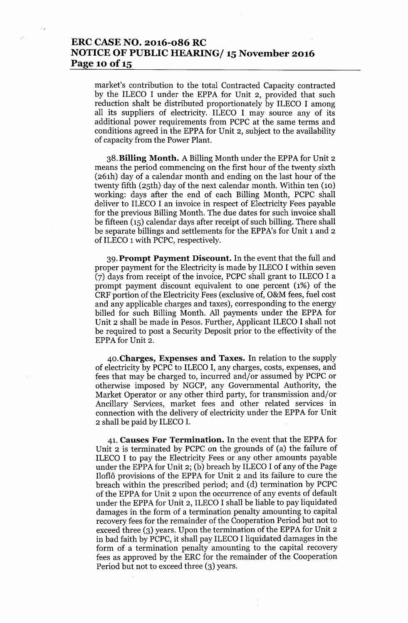# ERC CASE NO. 2016-086 RC NOTICE OF PUBLIC HEARING/ 15 November 2016 Page 10 of 15

market's contribution to the total Contracted Capacity contracted by the ILECO I under the EPPA for Unit 2, provided that such reduction shalt be distributed proportionately by ILECO I among all its suppliers of electricity. ILECO I may source any of its additional power requirements from PCPC at the same terms and conditions agreed in the EPPA for Unit 2, subject to the availability of capacity from the Power Plant.

38.Billing Month. A Billing Month under the EPPA for Unit 2 means the period commencing on the first hour of the twenty sixth (261h) day of a calendar month and ending on the last hour of the twenty fifth (25th) day of the next calendar month. Within ten (10) working: days after the end of each Billing Month, PCPC shall deliver to ILECO I an invoice in respect of Electricity Fees payable for the previous Billing Month. The due dates for such invoice shall be fifteen (15) calendar days after receipt of such billing. There shall be separate billings and settlements for the EPPA's for Unit 1 and 2 of ILECO 1with PCPC, respectively.

39. Prompt Payment Discount. In the event that the full and proper payment for the Electricity is made by ILECO I within seven (7) days from receipt of the invoice, PCPC shall grant to ILECO I a prompt payment discount equivalent to one percent (1%) of the CRF portion of the Electricity Fees (exclusive of, O&M fees, fuel cost and any applicable charges and taxes), corresponding to the energy billed for such Billing Month. All payments under the EPPA for Unit 2 shall be made in Pesos. Further, Applicant ILECO I shall not be required to post a Security Deposit prior to the effectivity of the EPPA for Unit 2.

40.Charges, Expenses and Taxes. In relation to the supply of electricity by PCPC to ILECO I, any charges, costs, expenses, and fees that may be charged to, incurred and/or assumed by PCPC or otherwise imposed by NGCP, any Governmental Authority, the Market Operator or any other third party, for transmission and/or Ancillary Services, market fees and other related services in connection with the delivery of electricity under the EPPA for Unit 2 shall be paid by ILECO I.

41. Causes For Termination. In the event that the EPPA for Unit 2 is terminated by PCPC on the grounds of (a) the failure of ILECO I to pay the Electricity Fees or any other amounts payable under the EPPA for Unit 2; (b) breach by ILECO I of any of the Page Iloflô provisions of the EPPA for Unit 2 and its failure to cure the breach within the prescribed period; and (d) termination by PCPC of the EPPA for Unit 2 upon the occurrence of any events of default under the EPPA for Unit 2, ILECO I shall be liable to pay liquidated damages in the form of a termination penalty amounting to capital recovery fees for the remainder of the Cooperation Period but not to exceed three (3) years. Upon the termination of the EPPA for Unit 2 in bad faith by PCPC, it shall pay ILECO I liquidated damages in the form of a termination penalty amounting to the capital recovery fees as approved by the ERC for the remainder of the Cooperation Period but not to exceed three (3) years.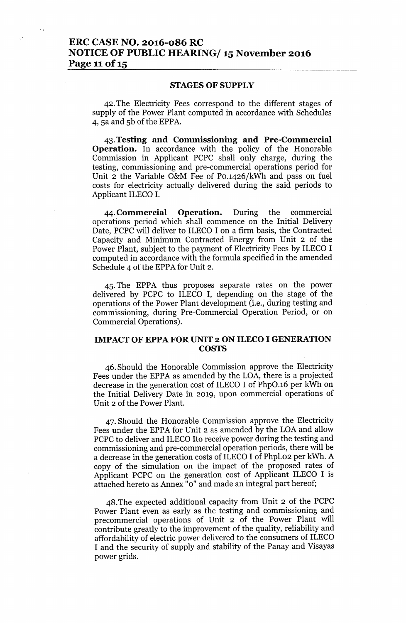### ERC CASE NO. 2016-086 RC NOTICE OF PUBLIC HEARING/15 November 2016 Page 11 of 15

#### STAGES OF SUPPLY

42. The Electricity Fees correspond to the different stages of supply of the Power Plant computed in accordance with Schedules 4, sa and Sb of the EPPA.

43.Testing and Commissioning and Pre-Commercial Operation. In accordance with the policy of the Honorable Commission in Applicant PCPC shall only charge, during the testing, commissioning and pre-commercial operations period for Unit 2 the Variable O&M Fee of PO.1426/kWh and pass on fuel costs for electricity actually delivered during the said periods to Applicant ILECO 1.

44. Commercial Operation. During the commercial operations period which shall commence on the Initial Delivery Date, PCPC will deliver to ILECO I on a firm basis, the Contracted Capacity and Minimum Contracted Energy from Unit 2 of the Power Plant, subject to the payment of Electricity Fees by ILECO I computed in accordance with the formula specified in the amended Schedule 4 of the EPPA for Unit 2.

4S. The EPPA thus proposes separate rates on the power delivered by PCPC to ILECO I, depending on the stage of the operations of the Power Plant development (Le., during testing and commissioning, during Pre-Commercial Operation Period, or on Commercial Operations).

#### IMPACT OF EPPA FOR UNIT 2 ON ILECO I GENERATION **COSTS**

46. Should the Honorable Commission approve the Electricity Fees under the EPPA as amended by the LOA, there is a projected decrease in the generation cost of ILECO I of PhpO.16 per kWh on the Initial Delivery Date in 2019, upon commercial operations of Unit 2 of the Power Plant.

47. Should the Honorable Commission approve the Electricity Fees under the EPPA for Unit 2 as amended by the LOA and allow PCPC to deliver and ILECO Ito receive power during the testing and commissioning and pre-commercial operation periods, there will be a decrease in the generation costs of ILECO I of Phpl.02 per kWh. A copy of the simulation on the impact of the proposed rates of Applicant PCPC on the generation cost of Applicant ILECO I is attached hereto as Annex "0" and made an integral part hereof;

48. The expected additional capacity from Unit 2 of the PCPC Power Plant even as early as the testing and commissioning and precommercial operations of Unit 2 of the Power Plant will contribute greatly to the improvement of the quality, reliability and affordability of electric power delivered to the consumers of ILECO I and the security of supply and stability of the Panay and Visayas power grids.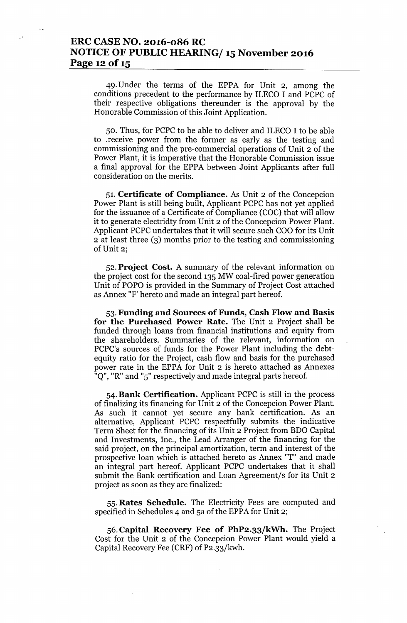## **ERC CASE NO. 2016-086 RC NOTICE OF PUBLIC HEARING/ 15November 2016 Page 12** of 15

49. Under the terms of the EPPA for Unit 2, among the conditions precedent to the performance by ILECO I and PCPC of their respective obligations thereunder is the approval by the Honorable Commission of this Joint Application.

50. Thus, for PCPC to be able to deliver and ILECO I to be able to .receive power from the former as early as the testing and commissioning and the pre-commercial operations of Unit 2 of the Power Plant, it is imperative that the Honorable Commission issue a final approval for the EPPA between Joint Applicants after full consideration on the merits.

51. **Certificate of Compliance.** As Unit 2 of the Concepcion Power Plant is still being built, Applicant PCPC has not yet applied for the issuance of a Certificate of Compliance (COC) that will allow it to generate electridty from Unit 2 of the Concepcion Power Plant. Applicant PCPC undertakes that it will secure such COO for its Unit 2 at least three (3) months prior to the testing and commissioning of Unit 2;

52. **Project Cost.** A summary of the relevant information on the project cost for the second 135 MW coal-fired power generation Unit of POPO is provided in the Summary of Project Cost attached as Annex "F' hereto and made an integral part hereof.

53. **Funding and Sources of Funds, Cash Flow and Basis for the Purchased Power Rate.** The Unit 2 Project shall be funded through loans from financial institutions and equity from the shareholders. Summaries of the relevant, information on PCPC's sources of funds for the Power Plant including the debtequity ratio for the Project, cash flow and basis for the purchased power rate in the EPPA for Unit 2 is hereto attached as Annexes "Q", "R" and "5" respectively and made integral parts hereof.

54. **Bank Certification.** Applicant PCPC is still in the process of finalizing its financing for Unit 2 of the Concepcion Power Plant. As such it cannot yet secure any. bank certification. As an alternative, Applicant PCPC respectfully submits the indicative Term Sheet for the financing of its Unit 2 Project from BDO Capital and Investments, Inc., the Lead Arranger of the financing for the said project, on the principal amortization, term and interest of the prospective loan which is attached hereto as Annex "T" and made an integral part hereof. Applicant PCPC undertakes that it shall submit the Bank certification and Loan Agreement/s for its Unit 2 project as soon as they are finalized:

55. **Rates Schedule.** The Electricity Fees are computed and specified in Schedules 4 and 5a of the EPPA for Unit 2;

56. **Capital Recovery Fee of PhP2.33/kWh.** The Project Cost for the Unit 2 of the Concepcion Power Plant would yield a Capital Recovery Fee (CRF) of P2.33/kwh.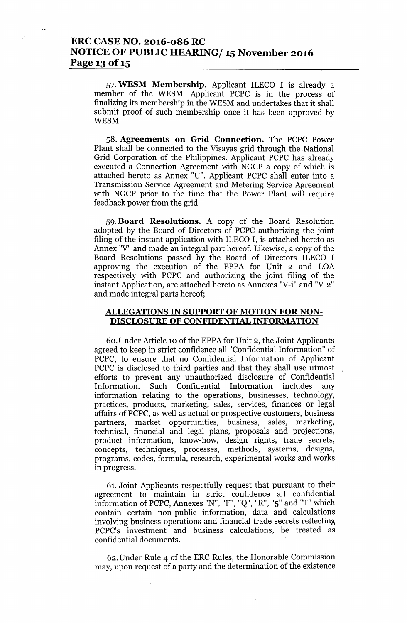57. **WESM Membership.** Applicant ILECO I is already a member of the WESM. Applicant PCPC is in the process of finalizing its membership in the WESM and undertakes that it shall submit proof of such membership once it has been approved by WESM.

58. **Agreements on Grid Connection.** The PCPC Power Plant shall be connected to the Yisayas grid through the National Grid Corporation of the Philippines. Applicant PCPC has already executed a Connection Agreement with NGCP a copy of which is attached hereto as Annex "U". Applicant PCPC shall enter into a Transmission Service Agreement and Metering Service Agreement with NGCP prior to the time that the Power Plant will require feedback power from the grid.

59. **Board Resolutions.** A copy of the Board Resolution adopted by the Board of Directors of PCPC authorizing the joint filing of the instant application with ILECO I, is attached hereto as Annex "Y" and made an integral part hereof. Likewise, a copy of the Board Resolutions passed by the Board of Directors ILECO I approving the execution of the EPPA for Unit 2 and LOA respectively with PCPC and authorizing the joint filing of the instant Application, are attached hereto as Annexes "Y-i" and "Y-2" and made integral parts hereof;

#### **ALLEGATIONS IN SUPPORT OF MOTION FOR NON-DISCLOSURE OF CONFIDENTIAL INFORMATION**

60. Under Article 10 of the EPPA for Unit 2, the Joint Applicants agreed to keep in strict confidence all "Confidential Information" of PCPC, to ensure that no Confidential Information of Applicant PCPC is disclosed to third parties and that they shall use utmost efforts to prevent any unauthorized disclosure of Confidential Information. Such Confidential Information includes any information relating to the operations, businesses, technology, practices, products, marketing, sales, services, finances or legal affairs of PCPC, as well as actual or prospective customers, business partners, market opportunities, business, sales, marketing, technical, financial and legal plans, proposals and projections, product information, know-how, design rights, trade secrets, concepts, techniques, processes, methods, systems, designs, programs, codes, formula, research, experimental works and works in progress.

61. Joint Applicants respectfully request that pursuant to their agreement to maintain in strict confidence all confidential information of PCPC, Annexes "N", "F", "Q", "R", "5" and "T" which . contain certain non-public information, data and calculations involving business operations and financial trade secrets reflecting PCPC's investment and business calculations, be treated as confidential documents.

62. Under Rule 4 of the ERC Rules, the Honorable Commission may, upon request of a party and the determination of the existence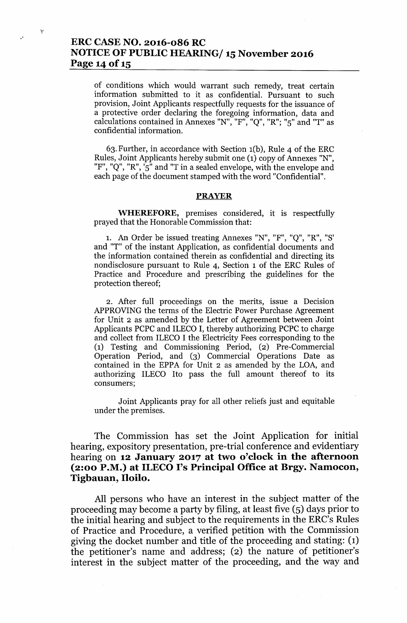# ERC CASE NO. 2016-086 RC NOTICE OF PUBLIC HEARING/ 15 November 2016 Page 14 of 15

of conditions which would warrant such remedy, treat certain information submitted to it as confidential. Pursuant to such provision, Joint Applicants respectfully requests for the issuance of a protective order declaring the foregoing information, data and calculations contained in Annexes "N", "F", "Q", "R"; "5" and "T" as confidential information.

63. Further, in accordance with Section  $1(b)$ , Rule 4 of the ERC Rules, Joint Applicants hereby submit one (1) copy of Annexes "N", "F", "Q", "R",  $\overline{5}$ " and "T in a sealed envelope, with the envelope and each page of the document stamped with the word "Confidential".

#### PRAYER

WHEREFORE, premises considered, it is respectfully prayed that the Honorable Commission that:

1. An Order be issued treating Annexes "N", "F", "Q" , "R", "S' and "T" of the instant Application, as confidential documents and the information contained therein as confidential and directing its nondisclosure pursuant to Rule 4, Section 1 of the ERC Rules of Practice and Procedure and prescribing the guidelines for the protection thereof;

2. After full proceedings on the merits, issue a Decision APPROVING the terms of the Electric Power Purchase Agreement for Unit 2 as amended by the Letter of Agreement between Joint Applicants PCPC and ILECO I, thereby authorizing PCPC to charge and collect from ILECO I the Electricity Fees corresponding to the (1) Testing and Commissioning Period, (2) Pre-Commercial Operation Period, and (3) Commercial Operations Date as contained in the EPPA for Unit 2 as amended by the LOA, and authorizing ILECO Ito pass the full amount thereof to its consumers;

Joint Applicants pray for all other reliefs just and equitable under the premises.

The Commission has set the Joint Application for initial hearing, expository presentation, pre-trial conference and evidentiary hearing on 12 January 2017 at two o'clock in the afternoon (2:00 P.M.) at ILECO I's Principal Office at Brgy. Namocon, Tigbauan, Iloilo.

All persons who have an interest in the subject matter of the proceeding may become a party by filing, at least five (5) days prior to the initial hearing and subject to the requirements in the ERC's Rules of Practice and Procedure, a verified petition with the Commission giving the docket number and title of the proceeding and stating: (1) the petitioner's name and address; (2) the nature of petitioner's interest in the subject matter of the proceeding, and the way and